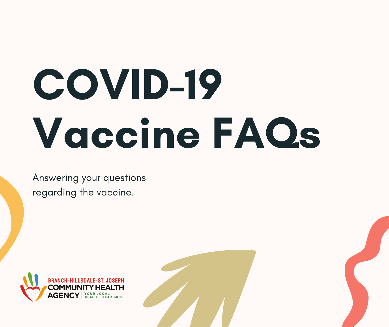# COVID-19 Vaccine FAQs

Answering your questions regarding the vaccine.

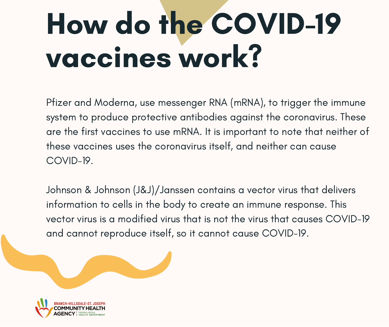# How do the COVID-19 vaccines work?

Pfizer and Moderna, use messenger RNA (mRNA), to trigger the immune system to produce protective antibodies against the coronavirus. These are the first vaccines to use mRNA. It is important to note that neither of these vaccines uses the coronavirus itself, and neither can cause COVID-19.

Johnson & Johnson (J&J)/Janssen contains a vector virus that delivers information to cells in the body to create an immune response. This vector virus is a modified virus that is not the virus that causes COVID-19 and cannot reproduce itself, so it cannot cause COVID-19.

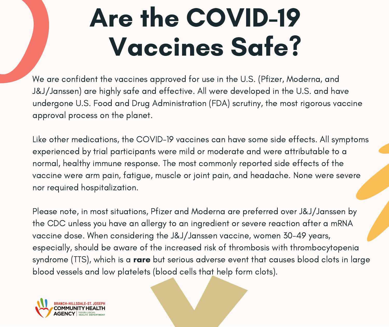### Are the COVID-19 Vaccines Safe?

We are confident the vaccines approved for use in the U.S. (Pfizer, Moderna, and J&J/Janssen) are highly safe and effective. All were developed in the U.S. and have undergone U.S. Food and Drug Administration (FDA) scrutiny, the most rigorous vaccine approval process on the planet.

Like other medications, the COVID-19 vaccines can have some side effects. All symptoms experienced by trial participants were mild or moderate and were attributable to a normal, healthy immune response. The most commonly reported side effects of the vaccine were arm pain, fatigue, muscle or joint pain, and headache. None were severe nor required hospitalization.

Please note, in most situations, Pfizer and Moderna are preferred over J&J/Janssen by the CDC unless you have an allergy to an ingredient or severe reaction after a mRNA vaccine dose. When considering the J&J/Janssen vaccine, women 30-49 years, especially, should be aware of the increased risk of thrombosis with thrombocytopenia syndrome (TTS), which is a **rare** but serious adverse event that causes blood clots in large blood vessels and low platelets (blood cells that help form clots).

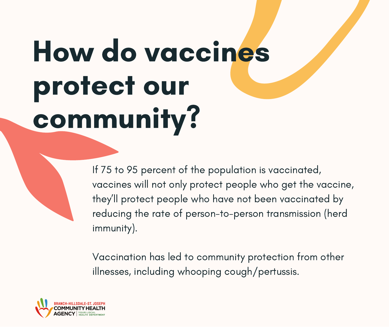# How do vaccines protect our community?

If 75 to 95 percent of the population is vaccinated, vaccines will not only protect people who get the vaccine, they 'll protect people who have not been vaccinated by reducing the rate of person-to-person transmission (herd immunity).

Vaccination has led to community protection from other illnesses, including whooping cough/pertussis.

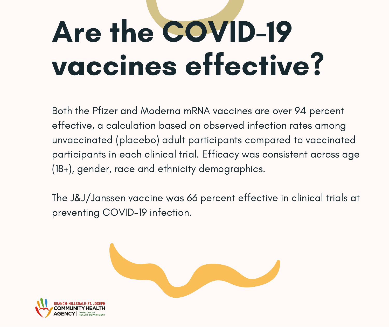# Are the COVID-19 vaccines effective?

Both the Pfizer and Moderna mRNA vaccines are over 94 percent effective, a calculation based on observed infection rates among unvaccinated (placebo) adult participants compared to vaccinated participants in each clinical trial. Efficacy was consistent across age (18+), gender, race and ethnicity demographics.

The J&J/Janssen vaccine was 66 percent effective in clinical trials at preventing COVID-19 infection.



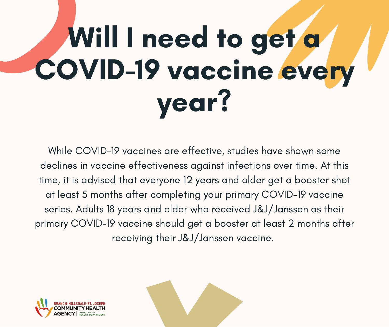# Will I need to get a COVID-19 vaccine every year?

While COVID-19 vaccines are effective, studies have shown some declines in vaccine effectiveness against infections over time. At this time, it is advised that everyone 12 years and older get a [booster](https://www.cdc.gov/coronavirus/2019-ncov/vaccines/booster-shot.html) shot at least 5 months after completing your primary COVID-19 vaccine series. Adults 18 years and older who received J&J/Janssen as their primary COVID-19 vaccine should get a booster at least 2 months after receiving their J&J/Janssen vaccine.



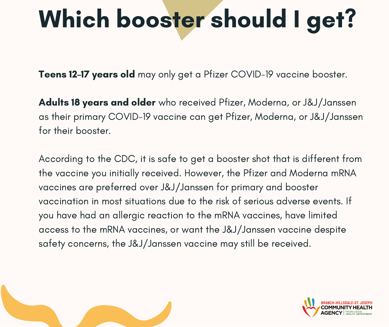### Which booster should I get?

Teens 12–17 years old may only get a Pfizer COVID–19 vaccine booster.

Adults 18 years and older who received Pfizer, Moderna, or J&J/Janssen as their primary COVID-19 vaccine can get Pfizer, Moderna, or J&J/Janssen for their booster.

According to the CDC, it is safe to get a booster shot that is different from the vaccine you initially received. However, the Pfizer and Moderna mRNA vaccines are preferred over J&J/Janssen for primary and booster vaccination in most situations due to the risk of serious adverse events. If you have had an allergic reaction to the mRNA vaccines, have limited access to the mRNA vaccines, or want the J&J/Janssen vaccine despite safety concerns, the J&J/Janssen vaccine may still be received.



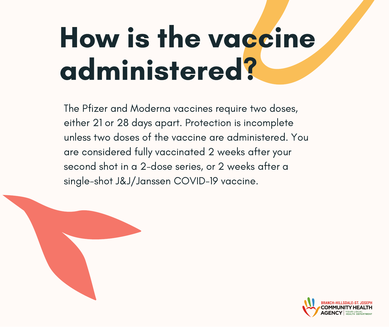### How is the vaccine administered?

The Pfizer and Moderna vaccines require two doses, either 21 or 28 days apart. Protection is incomplete unless two doses of the vaccine are administered. You are considered fully vaccinated 2 weeks after your second shot in a 2-dose series, or 2 weeks after a single-shot J&J/Janssen COVID-19 vaccine.

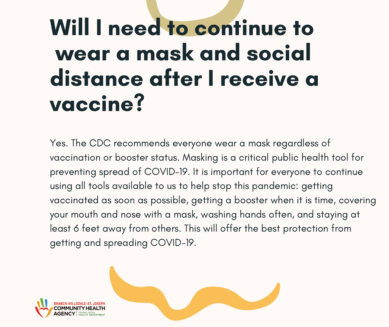#### Will I need to continue to wear a mask and social distance after I receive a vaccine?

Yes. The CDC recommends everyone wear a mask regardless of vaccination or booster status. Masking is a critical public health tool for preventing spread of COVID-19. It is important for everyone to continue using all tools available to us to help stop this pandemic: getting vaccinated as soon as possible, getting a booster when it is time, covering your mouth and nose with a mask, washing hands often, and staying at least 6 feet away from others. This will offer the best protection from getting and spreading COVID-19.



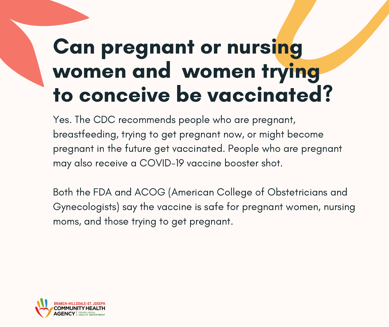#### Can pregnant or nursing women and women trying to conceive be vaccinated?

Yes. The CDC recommends people who are pregnant, breastfeeding, trying to get pregnant now, or might become pregnant in the future get vaccinated. People who are pregnant may also receive a COVID-19 vaccine booster shot.

Both the FDA and ACOG (American College of Obstetricians and Gynecologists) say the vaccine is safe for pregnant women, nursing moms, and those trying to get pregnant.

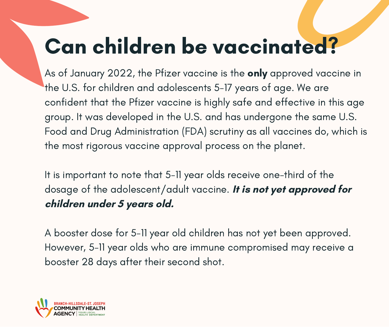#### Can children be vaccinated?

As of January 2022, the Pfizer vaccine is the **only** approved vaccine in the U.S. for children and adolescents 5-17 years of age. We are confident that the Pfizer vaccine is highly safe and effective in this age group. It was developed in the U.S. and has undergone the same U.S. Food and Drug Administration (FDA) scrutiny as all vaccines do, which is the most rigorous vaccine approval process on the planet.

It is important to note that 5-11 year olds receive one-third of the dosage of the adolescent/adult vaccine. **It is not yet approved for children under 5 years old.**

A booster dose for 5-11 year old children has not yet been approved. However, 5-11 year olds who are immune compromised may receive a booster 28 days after their second shot.

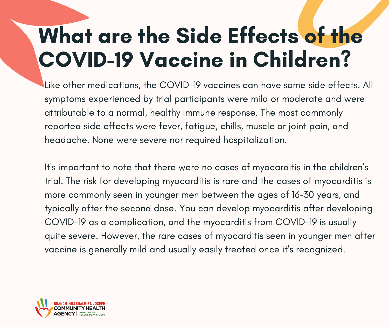#### What are the Side Effects of the COVID-19 Vaccine in Children?

Like other medications, the COVID-19 vaccines can have some side effects. All symptoms experienced by trial participants were mild or moderate and were attributable to a normal, healthy immune response. The most commonly reported side effects were fever, fatigue, chills, muscle or joint pain, and headache. None were severe nor required hospitalization.

It's important to note that there were no cases of myocarditis in the children's trial. The risk for developing myocarditis is rare and the cases of myocarditis is more commonly seen in younger men between the ages of 16-30 years, and typically after the second dose. You can develop myocarditis after developing COVID-19 as a complication, and the myocarditis from COVID-19 is usually quite severe. However, the rare cases of myocarditis seen in younger men after vaccine is generally mild and usually easily treated once it's recognized.

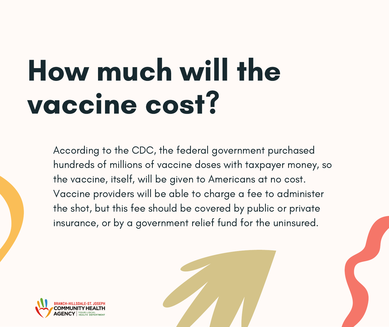### How much will the vaccine cost?

According to the CDC, the federal government purchased hundreds of millions of vaccine doses with taxpayer money, so the vaccine, itself, will be given to Americans at no cost. Vaccine providers will be able to charge a fee to administer the shot, but this fee should be covered by public or private insurance, or by a government relief fund for the uninsured.

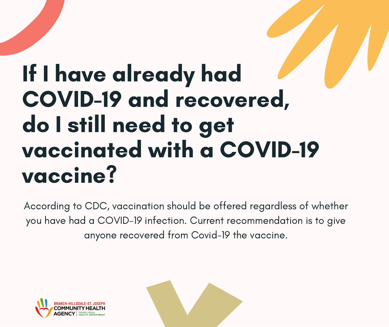#### If I have already had COVID-19 and recovered, do I still need to get vaccinated with a COVID-19 vaccine?

According to CDC, vaccination should be offered regardless of whether you have had a COVID-19 infection. Current recommendation is to give anyone recovered from Covid-19 the vaccine.